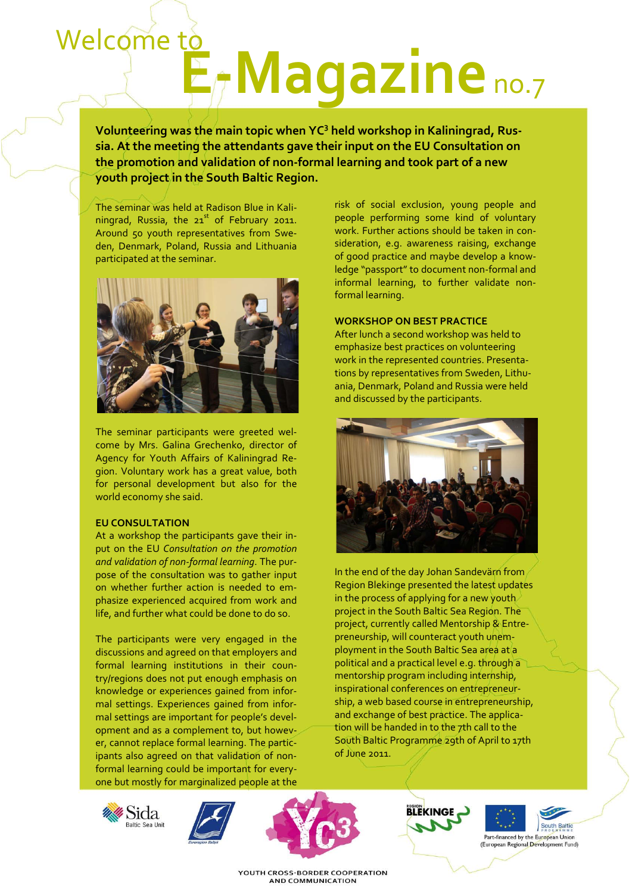# E<sub>f</sub>Magazine no.7 Welcome to

**Volunteering was the main topic when YC3 held workshop in Kaliningrad, Russia. At the meeting the attendants gave their input on the EU Consultation on the promotion and validation of non-formal learning and took part of a new youth project in the South Baltic Region.**

The seminar was held at Radison Blue in Kaliningrad, Russia, the  $21<sup>st</sup>$  of February 2011. Around 50 youth representatives from Sweden, Denmark, Poland, Russia and Lithuania participated at the seminar.



The seminar participants were greeted welcome by Mrs. Galina Grechenko, director of Agency for Youth Affairs of Kaliningrad Region. Voluntary work has a great value, both for personal development but also for the world economy she said.

#### **EU CONSULTATION**

At a workshop the participants gave their input on the EU *Consultation on the promotion and validation of non-formal learning*. The purpose of the consultation was to gather input on whether further action is needed to emphasize experienced acquired from work and life, and further what could be done to do so.

The participants were very engaged in the discussions and agreed on that employers and formal learning institutions in their country/regions does not put enough emphasis on knowledge or experiences gained from informal settings. Experiences gained from informal settings are important for people's development and as a complement to, but however, cannot replace formal learning. The participants also agreed on that validation of nonformal learning could be important for everyone but mostly for marginalized people at the

risk of social exclusion, young people and people performing some kind of voluntary work. Further actions should be taken in consideration, e.g. awareness raising, exchange of good practice and maybe develop a knowledge "passport" to document non-formal and informal learning, to further validate nonformal learning.

#### **WORKSHOP ON BEST PRACTICE**

After lunch a second workshop was held to emphasize best practices on volunteering work in the represented countries. Presentations by representatives from Sweden, Lithuania, Denmark, Poland and Russia were held and discussed by the participants.



In the end of the day Johan Sandevärn from Region Blekinge presented the latest updates in the process of applying for a new youth project in the South Baltic Sea Region. The project, currently called Mentorship & Entrepreneurship, will counteract youth unemployment in the South Baltic Sea area at a political and a practical level e.g. through a mentorship program including internship, inspirational conferences on entrepreneurship, a web based course in entrepreneurship, and exchange of best practice. The application will be handed in to the 7th call to the South Baltic Programme 29th of April to 17th of June 2011.











YOUTH CROSS-BORDER COOPERATION **AND COMMUNICATION**